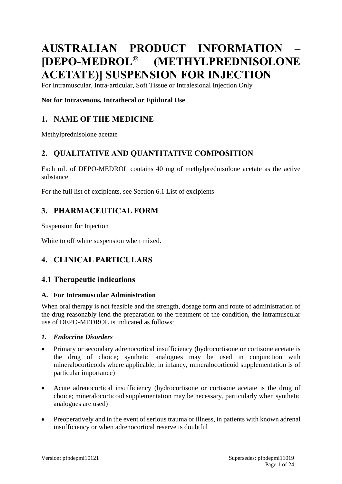# **AUSTRALIAN PRODUCT INFORMATION – [DEPO-MEDROL® (METHYLPREDNISOLONE ACETATE)] SUSPENSION FOR INJECTION**

For Intramuscular, Intra-articular, Soft Tissue or Intralesional Injection Only

### **Not for Intravenous, Intrathecal or Epidural Use**

# **1. NAME OF THE MEDICINE**

Methylprednisolone acetate

# **2. QUALITATIVE AND QUANTITATIVE COMPOSITION**

Each mL of DEPO-MEDROL contains 40 mg of methylprednisolone acetate as the active substance

For the full list of excipients, see Section 6.1 List of excipients

# **3. PHARMACEUTICAL FORM**

Suspension for Injection

White to off white suspension when mixed.

# **4. CLINICAL PARTICULARS**

# **4.1 Therapeutic indications**

### **A. For Intramuscular Administration**

When oral therapy is not feasible and the strength, dosage form and route of administration of the drug reasonably lend the preparation to the treatment of the condition, the intramuscular use of DEPO-MEDROL is indicated as follows:

### *1. Endocrine Disorders*

- Primary or secondary adrenocortical insufficiency (hydrocortisone or cortisone acetate is the drug of choice; synthetic analogues may be used in conjunction with mineralocorticoids where applicable; in infancy, mineralocorticoid supplementation is of particular importance)
- Acute adrenocortical insufficiency (hydrocortisone or cortisone acetate is the drug of choice; mineralocorticoid supplementation may be necessary, particularly when synthetic analogues are used)
- Preoperatively and in the event of serious trauma or illness, in patients with known adrenal insufficiency or when adrenocortical reserve is doubtful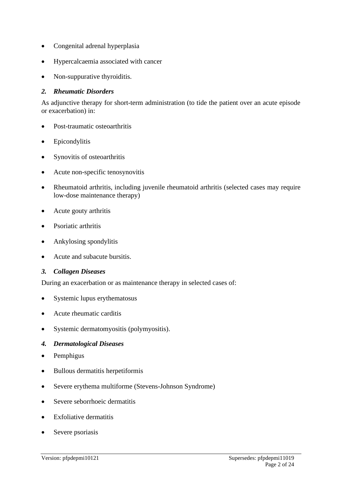- Congenital adrenal hyperplasia
- Hypercalcaemia associated with cancer
- Non-suppurative thyroiditis.

#### *2. Rheumatic Disorders*

As adjunctive therapy for short-term administration (to tide the patient over an acute episode or exacerbation) in:

- Post-traumatic osteoarthritis
- Epicondylitis
- Synovitis of osteoarthritis
- Acute non-specific tenosynovitis
- Rheumatoid arthritis, including juvenile rheumatoid arthritis (selected cases may require low-dose maintenance therapy)
- Acute gouty arthritis
- Psoriatic arthritis
- Ankylosing spondylitis
- Acute and subacute bursitis.

### *3. Collagen Diseases*

During an exacerbation or as maintenance therapy in selected cases of:

- Systemic lupus erythematosus
- Acute rheumatic carditis
- Systemic dermatomyositis (polymyositis).

### *4. Dermatological Diseases*

- Pemphigus
- Bullous dermatitis herpetiformis
- Severe erythema multiforme (Stevens-Johnson Syndrome)
- Severe seborrhoeic dermatitis
- Exfoliative dermatitis
- Severe psoriasis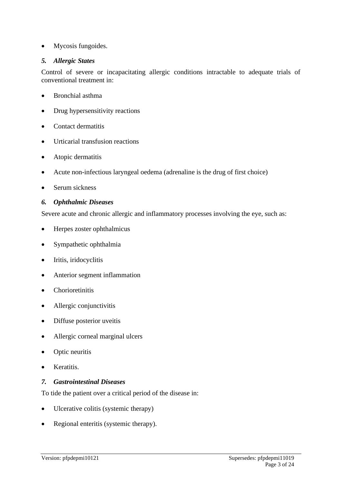• Mycosis fungoides.

### *5. Allergic States*

Control of severe or incapacitating allergic conditions intractable to adequate trials of conventional treatment in:

- Bronchial asthma
- Drug hypersensitivity reactions
- Contact dermatitis
- Urticarial transfusion reactions
- Atopic dermatitis
- Acute non-infectious laryngeal oedema (adrenaline is the drug of first choice)
- Serum sickness

### *6. Ophthalmic Diseases*

Severe acute and chronic allergic and inflammatory processes involving the eye, such as:

- Herpes zoster ophthalmicus
- Sympathetic ophthalmia
- Iritis, iridocyclitis
- Anterior segment inflammation
- Chorioretinitis
- Allergic conjunctivitis
- Diffuse posterior uveitis
- Allergic corneal marginal ulcers
- Optic neuritis
- Keratitis.

### *7. Gastrointestinal Diseases*

To tide the patient over a critical period of the disease in:

- Ulcerative colitis (systemic therapy)
- Regional enteritis (systemic therapy).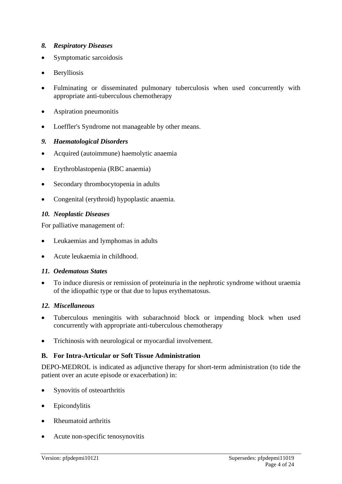### *8. Respiratory Diseases*

- Symptomatic sarcoidosis
- Berylliosis
- Fulminating or disseminated pulmonary tuberculosis when used concurrently with appropriate anti-tuberculous chemotherapy
- Aspiration pneumonitis
- Loeffler's Syndrome not manageable by other means.

### *9. Haematological Disorders*

- Acquired (autoimmune) haemolytic anaemia
- Erythroblastopenia (RBC anaemia)
- Secondary thrombocytopenia in adults
- Congenital (erythroid) hypoplastic anaemia.

### *10. Neoplastic Diseases*

For palliative management of:

- Leukaemias and lymphomas in adults
- Acute leukaemia in childhood.

### *11. Oedematous States*

• To induce diuresis or remission of proteinuria in the nephrotic syndrome without uraemia of the idiopathic type or that due to lupus erythematosus.

### *12. Miscellaneous*

- Tuberculous meningitis with subarachnoid block or impending block when used concurrently with appropriate anti-tuberculous chemotherapy
- Trichinosis with neurological or myocardial involvement.

### **B. For Intra-Articular or Soft Tissue Administration**

DEPO-MEDROL is indicated as adjunctive therapy for short-term administration (to tide the patient over an acute episode or exacerbation) in:

- Synovitis of osteoarthritis
- Epicondylitis
- Rheumatoid arthritis
- Acute non-specific tenosynovitis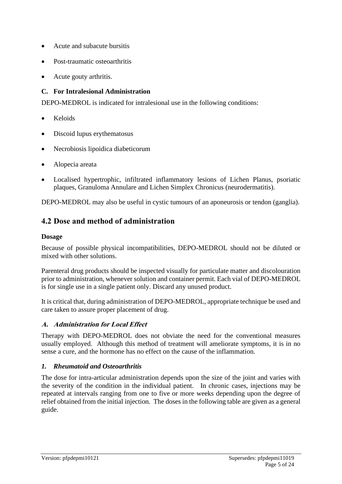- Acute and subacute bursitis
- Post-traumatic osteoarthritis
- Acute gouty arthritis.

### **C. For Intralesional Administration**

DEPO-MEDROL is indicated for intralesional use in the following conditions:

- Keloids
- Discoid lupus erythematosus
- Necrobiosis lipoidica diabeticorum
- Alopecia areata
- Localised hypertrophic, infiltrated inflammatory lesions of Lichen Planus, psoriatic plaques, Granuloma Annulare and Lichen Simplex Chronicus (neurodermatitis).

DEPO-MEDROL may also be useful in cystic tumours of an aponeurosis or tendon (ganglia).

# **4.2 Dose and method of administration**

### **Dosage**

Because of possible physical incompatibilities, DEPO-MEDROL should not be diluted or mixed with other solutions.

Parenteral drug products should be inspected visually for particulate matter and discolouration prior to administration, whenever solution and container permit. Each vial of DEPO-MEDROL is for single use in a single patient only. Discard any unused product.

It is critical that, during administration of DEPO-MEDROL, appropriate technique be used and care taken to assure proper placement of drug.

### **A. Administration for Local Effect**

Therapy with DEPO-MEDROL does not obviate the need for the conventional measures usually employed. Although this method of treatment will ameliorate symptoms, it is in no sense a cure, and the hormone has no effect on the cause of the inflammation.

### *1. Rheumatoid and Osteoarthritis*

The dose for intra-articular administration depends upon the size of the joint and varies with the severity of the condition in the individual patient. In chronic cases, injections may be repeated at intervals ranging from one to five or more weeks depending upon the degree of relief obtained from the initial injection. The doses in the following table are given as a general guide.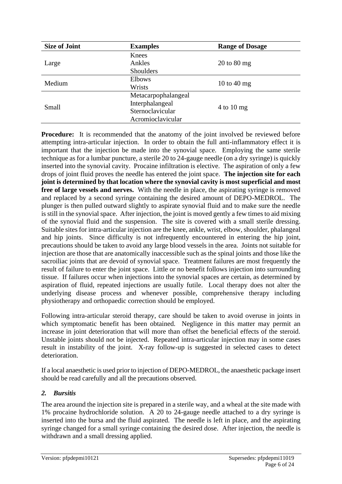| <b>Size of Joint</b> | <b>Examples</b>     | <b>Range of Dosage</b> |  |
|----------------------|---------------------|------------------------|--|
|                      | Knees               | $20$ to $80$ mg        |  |
| Large                | Ankles              |                        |  |
|                      | <b>Shoulders</b>    |                        |  |
| Medium               | Elbows              | 10 to 40 mg            |  |
|                      | Wrists              |                        |  |
| Small                | Metacarpophalangeal |                        |  |
|                      | Interphalangeal     | $4$ to 10 mg           |  |
|                      | Sternoclavicular    |                        |  |
|                      | Acromioclavicular   |                        |  |

**Procedure:** It is recommended that the anatomy of the joint involved be reviewed before attempting intra-articular injection. In order to obtain the full anti-inflammatory effect it is important that the injection be made into the synovial space. Employing the same sterile technique as for a lumbar puncture, a sterile 20 to 24-gauge needle (on a dry syringe) is quickly inserted into the synovial cavity. Procaine infiltration is elective. The aspiration of only a few drops of joint fluid proves the needle has entered the joint space. **The injection site for each joint is determined by that location where the synovial cavity is most superficial and most free of large vessels and nerves.** With the needle in place, the aspirating syringe is removed and replaced by a second syringe containing the desired amount of DEPO-MEDROL. The plunger is then pulled outward slightly to aspirate synovial fluid and to make sure the needle is still in the synovial space. After injection, the joint is moved gently a few times to aid mixing of the synovial fluid and the suspension. The site is covered with a small sterile dressing. Suitable sites for intra-articular injection are the knee, ankle, wrist, elbow, shoulder, phalangeal and hip joints. Since difficulty is not infrequently encountered in entering the hip joint, precautions should be taken to avoid any large blood vessels in the area. Joints not suitable for injection are those that are anatomically inaccessible such as the spinal joints and those like the sacroiliac joints that are devoid of synovial space. Treatment failures are most frequently the result of failure to enter the joint space. Little or no benefit follows injection into surrounding tissue. If failures occur when injections into the synovial spaces are certain, as determined by aspiration of fluid, repeated injections are usually futile. Local therapy does not alter the underlying disease process and whenever possible, comprehensive therapy including physiotherapy and orthopaedic correction should be employed.

Following intra-articular steroid therapy, care should be taken to avoid overuse in joints in which symptomatic benefit has been obtained. Negligence in this matter may permit an increase in joint deterioration that will more than offset the beneficial effects of the steroid. Unstable joints should not be injected. Repeated intra-articular injection may in some cases result in instability of the joint. X-ray follow-up is suggested in selected cases to detect deterioration.

If a local anaesthetic is used prior to injection of DEPO-MEDROL, the anaesthetic package insert should be read carefully and all the precautions observed.

### *2. Bursitis*

The area around the injection site is prepared in a sterile way, and a wheal at the site made with 1% procaine hydrochloride solution. A 20 to 24-gauge needle attached to a dry syringe is inserted into the bursa and the fluid aspirated. The needle is left in place, and the aspirating syringe changed for a small syringe containing the desired dose. After injection, the needle is withdrawn and a small dressing applied.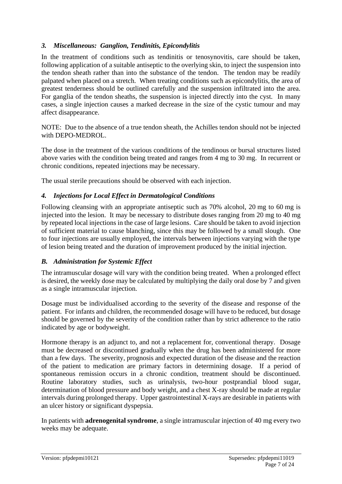### *3. Miscellaneous: Ganglion, Tendinitis, Epicondylitis*

In the treatment of conditions such as tendinitis or tenosynovitis, care should be taken, following application of a suitable antiseptic to the overlying skin, to inject the suspension into the tendon sheath rather than into the substance of the tendon. The tendon may be readily palpated when placed on a stretch. When treating conditions such as epicondylitis, the area of greatest tenderness should be outlined carefully and the suspension infiltrated into the area. For ganglia of the tendon sheaths, the suspension is injected directly into the cyst. In many cases, a single injection causes a marked decrease in the size of the cystic tumour and may affect disappearance.

NOTE: Due to the absence of a true tendon sheath, the Achilles tendon should not be injected with DEPO-MEDROL.

The dose in the treatment of the various conditions of the tendinous or bursal structures listed above varies with the condition being treated and ranges from 4 mg to 30 mg. In recurrent or chronic conditions, repeated injections may be necessary.

The usual sterile precautions should be observed with each injection.

### *4. Injections for Local Effect in Dermatological Conditions*

Following cleansing with an appropriate antiseptic such as 70% alcohol, 20 mg to 60 mg is injected into the lesion. It may be necessary to distribute doses ranging from 20 mg to 40 mg by repeated local injections in the case of large lesions. Care should be taken to avoid injection of sufficient material to cause blanching, since this may be followed by a small slough. One to four injections are usually employed, the intervals between injections varying with the type of lesion being treated and the duration of improvement produced by the initial injection.

### *B. Administration for Systemic Effect*

The intramuscular dosage will vary with the condition being treated. When a prolonged effect is desired, the weekly dose may be calculated by multiplying the daily oral dose by 7 and given as a single intramuscular injection.

Dosage must be individualised according to the severity of the disease and response of the patient. For infants and children, the recommended dosage will have to be reduced, but dosage should be governed by the severity of the condition rather than by strict adherence to the ratio indicated by age or bodyweight.

Hormone therapy is an adjunct to, and not a replacement for, conventional therapy. Dosage must be decreased or discontinued gradually when the drug has been administered for more than a few days. The severity, prognosis and expected duration of the disease and the reaction of the patient to medication are primary factors in determining dosage. If a period of spontaneous remission occurs in a chronic condition, treatment should be discontinued. Routine laboratory studies, such as urinalysis, two-hour postprandial blood sugar, determination of blood pressure and body weight, and a chest X-ray should be made at regular intervals during prolonged therapy. Upper gastrointestinal X-rays are desirable in patients with an ulcer history or significant dyspepsia.

In patients with **adrenogenital syndrome**, a single intramuscular injection of 40 mg every two weeks may be adequate.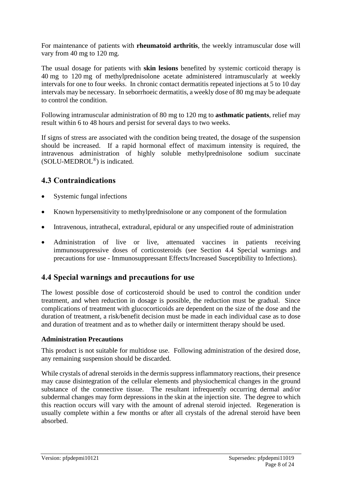For maintenance of patients with **rheumatoid arthritis**, the weekly intramuscular dose will vary from 40 mg to 120 mg.

The usual dosage for patients with **skin lesions** benefited by systemic corticoid therapy is 40 mg to 120 mg of methylprednisolone acetate administered intramuscularly at weekly intervals for one to four weeks. In chronic contact dermatitis repeated injections at 5 to 10 day intervals may be necessary. In seborrhoeic dermatitis, a weekly dose of 80 mg may be adequate to control the condition.

Following intramuscular administration of 80 mg to 120 mg to **asthmatic patients**, relief may result within 6 to 48 hours and persist for several days to two weeks.

If signs of stress are associated with the condition being treated, the dosage of the suspension should be increased. If a rapid hormonal effect of maximum intensity is required, the intravenous administration of highly soluble methylprednisolone sodium succinate (SOLU-MEDROL®) is indicated.

# **4.3 Contraindications**

- Systemic fungal infections
- Known hypersensitivity to methylprednisolone or any component of the formulation
- Intravenous, intrathecal, extradural, epidural or any unspecified route of administration
- Administration of live or live, attenuated vaccines in patients receiving immunosuppressive doses of corticosteroids (see Section 4.4 Special warnings and precautions for use - Immunosuppressant Effects/Increased Susceptibility to Infections).

# **4.4 Special warnings and precautions for use**

The lowest possible dose of corticosteroid should be used to control the condition under treatment, and when reduction in dosage is possible, the reduction must be gradual. Since complications of treatment with glucocorticoids are dependent on the size of the dose and the duration of treatment, a risk/benefit decision must be made in each individual case as to dose and duration of treatment and as to whether daily or intermittent therapy should be used.

### **Administration Precautions**

This product is not suitable for multidose use. Following administration of the desired dose, any remaining suspension should be discarded.

While crystals of adrenal steroids in the dermis suppress inflammatory reactions, their presence may cause disintegration of the cellular elements and physiochemical changes in the ground substance of the connective tissue. The resultant infrequently occurring dermal and/or subdermal changes may form depressions in the skin at the injection site. The degree to which this reaction occurs will vary with the amount of adrenal steroid injected. Regeneration is usually complete within a few months or after all crystals of the adrenal steroid have been absorbed.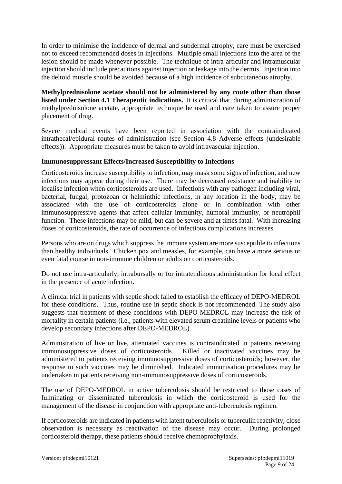In order to minimise the incidence of dermal and subdermal atrophy, care must be exercised not to exceed recommended doses in injections. Multiple small injections into the area of the lesion should be made whenever possible. The technique of intra-articular and intramuscular injection should include precautions against injection or leakage into the dermis. Injection into the deltoid muscle should be avoided because of a high incidence of subcutaneous atrophy.

**Methylprednisolone acetate should not be administered by any route other than those listed under Section 4.1 Therapeutic indications.** It is critical that, during administration of methylprednisolone acetate, appropriate technique be used and care taken to assure proper placement of drug.

Severe medical events have been reported in association with the contraindicated intrathecal/epidural routes of administration (see Section 4.8 Adverse effects (undesirable effects)). Appropriate measures must be taken to avoid intravascular injection.

### **Immunosuppressant Effects/Increased Susceptibility to Infections**

Corticosteroids increase susceptibility to infection, may mask some signs of infection, and new infections may appear during their use. There may be decreased resistance and inability to localise infection when corticosteroids are used. Infections with any pathogen including viral, bacterial, fungal, protozoan or helminthic infections, in any location in the body, may be associated with the use of corticosteroids alone or in combination with other immunosuppressive agents that affect cellular immunity, humoral immunity, or neutrophil function. These infections may be mild, but can be severe and at times fatal. With increasing doses of corticosteroids, the rate of occurrence of infectious complications increases.

Persons who are on drugs which suppress the immune system are more susceptible to infections than healthy individuals. Chicken pox and measles, for example, can have a more serious or even fatal course in non-immune children or adults on corticosteroids.

Do not use intra-articularly, intrabursally or for intratendinous administration for local effect in the presence of acute infection.

A clinical trial in patients with septic shock failed to establish the efficacy of DEPO-MEDROL for these conditions. Thus, routine use in septic shock is not recommended. The study also suggests that treatment of these conditions with DEPO-MEDROL may increase the risk of mortality in certain patients (i.e., patients with elevated serum creatinine levels or patients who develop secondary infections after DEPO-MEDROL).

Administration of live or live, attenuated vaccines is contraindicated in patients receiving immunosuppressive doses of corticosteroids. Killed or inactivated vaccines may be administered to patients receiving immunosuppressive doses of corticosteroids; however, the response to such vaccines may be diminished. Indicated immunisation procedures may be undertaken in patients receiving non-immunosuppressive doses of corticosteroids.

The use of DEPO-MEDROL in active tuberculosis should be restricted to those cases of fulminating or disseminated tuberculosis in which the corticosteroid is used for the management of the disease in conjunction with appropriate anti-tuberculosis regimen.

If corticosteroids are indicated in patients with latent tuberculosis or tuberculin reactivity, close observation is necessary as reactivation of the disease may occur. During prolonged corticosteroid therapy, these patients should receive chemoprophylaxis.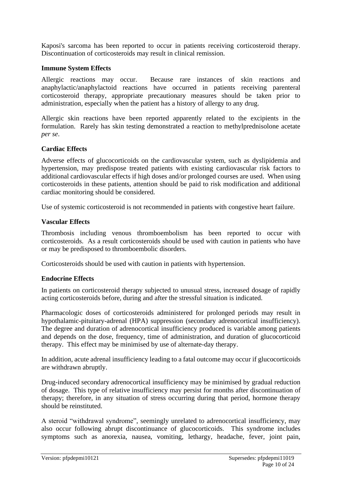Kaposi's sarcoma has been reported to occur in patients receiving corticosteroid therapy. Discontinuation of corticosteroids may result in clinical remission.

#### **Immune System Effects**

Allergic reactions may occur. Because rare instances of skin reactions and anaphylactic/anaphylactoid reactions have occurred in patients receiving parenteral corticosteroid therapy, appropriate precautionary measures should be taken prior to administration, especially when the patient has a history of allergy to any drug.

Allergic skin reactions have been reported apparently related to the excipients in the formulation. Rarely has skin testing demonstrated a reaction to methylprednisolone acetate *per se*.

#### **Cardiac Effects**

Adverse effects of glucocorticoids on the cardiovascular system, such as dyslipidemia and hypertension, may predispose treated patients with existing cardiovascular risk factors to additional cardiovascular effects if high doses and/or prolonged courses are used. When using corticosteroids in these patients, attention should be paid to risk modification and additional cardiac monitoring should be considered.

Use of systemic corticosteroid is not recommended in patients with congestive heart failure.

#### **Vascular Effects**

Thrombosis including venous thromboembolism has been reported to occur with corticosteroids. As a result corticosteroids should be used with caution in patients who have or may be predisposed to thromboembolic disorders.

Corticosteroids should be used with caution in patients with hypertension.

### **Endocrine Effects**

In patients on corticosteroid therapy subjected to unusual stress, increased dosage of rapidly acting corticosteroids before, during and after the stressful situation is indicated.

Pharmacologic doses of corticosteroids administered for prolonged periods may result in hypothalamic-pituitary-adrenal (HPA) suppression (secondary adrenocortical insufficiency). The degree and duration of adrenocortical insufficiency produced is variable among patients and depends on the dose, frequency, time of administration, and duration of glucocorticoid therapy. This effect may be minimised by use of alternate-day therapy.

In addition, acute adrenal insufficiency leading to a fatal outcome may occur if glucocorticoids are withdrawn abruptly.

Drug-induced secondary adrenocortical insufficiency may be minimised by gradual reduction of dosage. This type of relative insufficiency may persist for months after discontinuation of therapy; therefore, in any situation of stress occurring during that period, hormone therapy should be reinstituted.

A steroid "withdrawal syndrome", seemingly unrelated to adrenocortical insufficiency, may also occur following abrupt discontinuance of glucocorticoids. This syndrome includes symptoms such as anorexia, nausea, vomiting, lethargy, headache, fever, joint pain,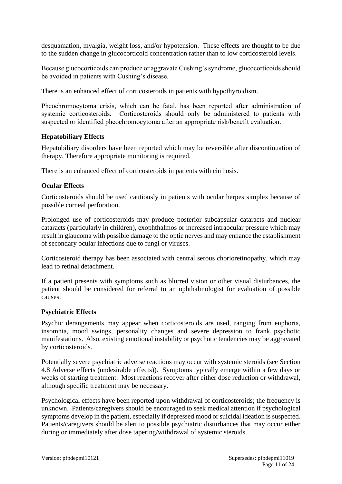desquamation, myalgia, weight loss, and/or hypotension. These effects are thought to be due to the sudden change in glucocorticoid concentration rather than to low corticosteroid levels.

Because glucocorticoids can produce or aggravate Cushing's syndrome, glucocorticoids should be avoided in patients with Cushing's disease.

There is an enhanced effect of corticosteroids in patients with hypothyroidism.

Pheochromocytoma crisis, which can be fatal, has been reported after administration of systemic corticosteroids. Corticosteroids should only be administered to patients with suspected or identified pheochromocytoma after an appropriate risk/benefit evaluation.

### **Hepatobiliary Effects**

Hepatobiliary disorders have been reported which may be reversible after discontinuation of therapy. Therefore appropriate monitoring is required.

There is an enhanced effect of corticosteroids in patients with cirrhosis.

### **Ocular Effects**

Corticosteroids should be used cautiously in patients with ocular herpes simplex because of possible corneal perforation.

Prolonged use of corticosteroids may produce posterior subcapsular cataracts and nuclear cataracts (particularly in children), exophthalmos or increased intraocular pressure which may result in glaucoma with possible damage to the optic nerves and may enhance the establishment of secondary ocular infections due to fungi or viruses.

Corticosteroid therapy has been associated with central serous chorioretinopathy, which may lead to retinal detachment.

If a patient presents with symptoms such as blurred vision or other visual disturbances, the patient should be considered for referral to an ophthalmologist for evaluation of possible causes.

### **Psychiatric Effects**

Psychic derangements may appear when corticosteroids are used, ranging from euphoria, insomnia, mood swings, personality changes and severe depression to frank psychotic manifestations. Also, existing emotional instability or psychotic tendencies may be aggravated by corticosteroids.

Potentially severe psychiatric adverse reactions may occur with systemic steroids (see Section 4.8 Adverse effects (undesirable effects)). Symptoms typically emerge within a few days or weeks of starting treatment. Most reactions recover after either dose reduction or withdrawal, although specific treatment may be necessary.

Psychological effects have been reported upon withdrawal of corticosteroids; the frequency is unknown. Patients/caregivers should be encouraged to seek medical attention if psychological symptoms develop in the patient, especially if depressed mood or suicidal ideation is suspected. Patients/caregivers should be alert to possible psychiatric disturbances that may occur either during or immediately after dose tapering/withdrawal of systemic steroids.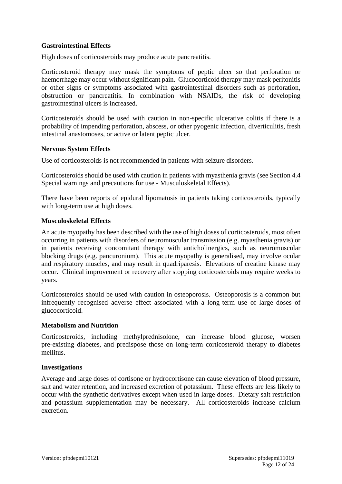### **Gastrointestinal Effects**

High doses of corticosteroids may produce acute pancreatitis.

Corticosteroid therapy may mask the symptoms of peptic ulcer so that perforation or haemorrhage may occur without significant pain. Glucocorticoid therapy may mask peritonitis or other signs or symptoms associated with gastrointestinal disorders such as perforation, obstruction or pancreatitis. In combination with NSAIDs, the risk of developing gastrointestinal ulcers is increased.

Corticosteroids should be used with caution in non-specific ulcerative colitis if there is a probability of impending perforation, abscess, or other pyogenic infection, diverticulitis, fresh intestinal anastomoses, or active or latent peptic ulcer.

#### **Nervous System Effects**

Use of corticosteroids is not recommended in patients with seizure disorders.

Corticosteroids should be used with caution in patients with myasthenia gravis (see Section 4.4 Special warnings and precautions for use - Musculoskeletal Effects).

There have been reports of epidural lipomatosis in patients taking corticosteroids, typically with long-term use at high doses.

#### **Musculoskeletal Effects**

An acute myopathy has been described with the use of high doses of corticosteroids, most often occurring in patients with disorders of neuromuscular transmission (e.g. myasthenia gravis) or in patients receiving concomitant therapy with anticholinergics, such as neuromuscular blocking drugs (e.g. pancuronium). This acute myopathy is generalised, may involve ocular and respiratory muscles, and may result in quadriparesis. Elevations of creatine kinase may occur. Clinical improvement or recovery after stopping corticosteroids may require weeks to years.

Corticosteroids should be used with caution in osteoporosis. Osteoporosis is a common but infrequently recognised adverse effect associated with a long-term use of large doses of glucocorticoid.

### **Metabolism and Nutrition**

Corticosteroids, including methylprednisolone, can increase blood glucose, worsen pre-existing diabetes, and predispose those on long-term corticosteroid therapy to diabetes mellitus.

### **Investigations**

Average and large doses of cortisone or hydrocortisone can cause elevation of blood pressure, salt and water retention, and increased excretion of potassium. These effects are less likely to occur with the synthetic derivatives except when used in large doses. Dietary salt restriction and potassium supplementation may be necessary. All corticosteroids increase calcium excretion.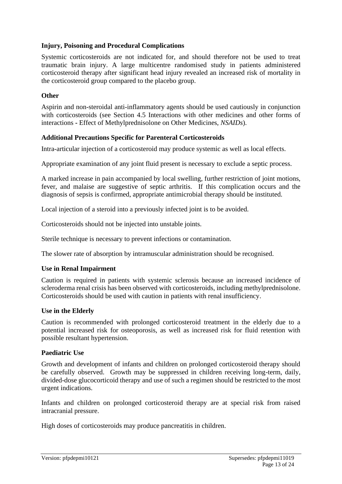### **Injury, Poisoning and Procedural Complications**

Systemic corticosteroids are not indicated for, and should therefore not be used to treat traumatic brain injury. A large multicentre randomised study in patients administered corticosteroid therapy after significant head injury revealed an increased risk of mortality in the corticosteroid group compared to the placebo group.

#### **Other**

Aspirin and non-steroidal anti-inflammatory agents should be used cautiously in conjunction with corticosteroids (see Section 4.5 Interactions with other medicines and other forms of interactions **-** Effect of Methylprednisolone on Other Medicines, *NSAIDs*).

#### **Additional Precautions Specific for Parenteral Corticosteroids**

Intra-articular injection of a corticosteroid may produce systemic as well as local effects.

Appropriate examination of any joint fluid present is necessary to exclude a septic process.

A marked increase in pain accompanied by local swelling, further restriction of joint motions, fever, and malaise are suggestive of septic arthritis. If this complication occurs and the diagnosis of sepsis is confirmed, appropriate antimicrobial therapy should be instituted.

Local injection of a steroid into a previously infected joint is to be avoided.

Corticosteroids should not be injected into unstable joints.

Sterile technique is necessary to prevent infections or contamination.

The slower rate of absorption by intramuscular administration should be recognised.

### **Use in Renal Impairment**

Caution is required in patients with systemic sclerosis because an increased incidence of scleroderma renal crisis has been observed with corticosteroids, including methylprednisolone. Corticosteroids should be used with caution in patients with renal insufficiency.

### **Use in the Elderly**

Caution is recommended with prolonged corticosteroid treatment in the elderly due to a potential increased risk for osteoporosis, as well as increased risk for fluid retention with possible resultant hypertension.

### **Paediatric Use**

Growth and development of infants and children on prolonged corticosteroid therapy should be carefully observed. Growth may be suppressed in children receiving long-term, daily, divided-dose glucocorticoid therapy and use of such a regimen should be restricted to the most urgent indications.

Infants and children on prolonged corticosteroid therapy are at special risk from raised intracranial pressure.

High doses of corticosteroids may produce pancreatitis in children.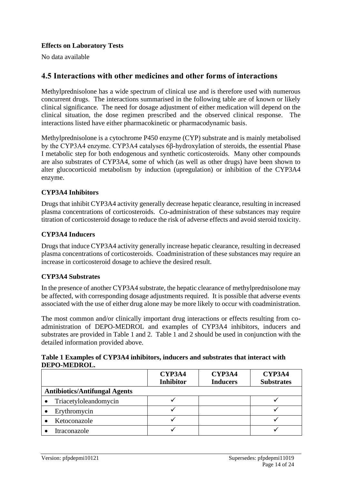### **Effects on Laboratory Tests**

No data available

# **4.5 Interactions with other medicines and other forms of interactions**

Methylprednisolone has a wide spectrum of clinical use and is therefore used with numerous concurrent drugs. The interactions summarised in the following table are of known or likely clinical significance. The need for dosage adjustment of either medication will depend on the clinical situation, the dose regimen prescribed and the observed clinical response. The interactions listed have either pharmacokinetic or pharmacodynamic basis.

Methylprednisolone is a cytochrome P450 enzyme (CYP) substrate and is mainly metabolised by the CYP3A4 enzyme. CYP3A4 catalyses 6β-hydroxylation of steroids, the essential Phase I metabolic step for both endogenous and synthetic corticosteroids. Many other compounds are also substrates of CYP3A4, some of which (as well as other drugs) have been shown to alter glucocorticoid metabolism by induction (upregulation) or inhibition of the CYP3A4 enzyme.

### **CYP3A4 Inhibitors**

Drugs that inhibit CYP3A4 activity generally decrease hepatic clearance, resulting in increased plasma concentrations of corticosteroids. Co-administration of these substances may require titration of corticosteroid dosage to reduce the risk of adverse effects and avoid steroid toxicity.

### **CYP3A4 Inducers**

Drugs that induce CYP3A4 activity generally increase hepatic clearance, resulting in decreased plasma concentrations of corticosteroids. Coadministration of these substances may require an increase in corticosteroid dosage to achieve the desired result.

### **CYP3A4 Substrates**

In the presence of another CYP3A4 substrate, the hepatic clearance of methylprednisolone may be affected, with corresponding dosage adjustments required. It is possible that adverse events associated with the use of either drug alone may be more likely to occur with coadministration.

The most common and/or clinically important drug interactions or effects resulting from coadministration of DEPO-MEDROL and examples of CYP3A4 inhibitors, inducers and substrates are provided in Table 1 and 2. Table 1 and 2 should be used in conjunction with the detailed information provided above.

#### **Table 1 Examples of CYP3A4 inhibitors, inducers and substrates that interact with DEPO-MEDROL.**

|                                      | CYP3A4<br><b>Inhibitor</b> | CYP3A4<br><b>Inducers</b> | CYP3A4<br><b>Substrates</b> |
|--------------------------------------|----------------------------|---------------------------|-----------------------------|
| <b>Antibiotics/Antifungal Agents</b> |                            |                           |                             |
| Triacetyloleandomycin                |                            |                           |                             |
| Erythromycin                         |                            |                           |                             |
| Ketoconazole                         |                            |                           |                             |
| Itraconazole                         |                            |                           |                             |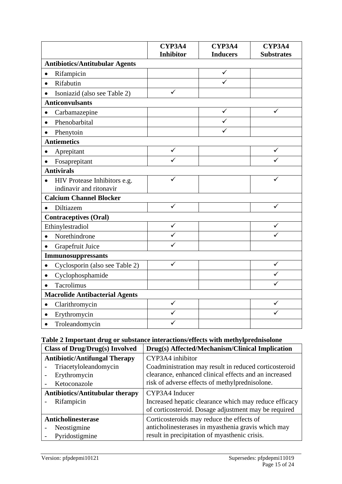|                                                                      | <b>CYP3A4</b>    | <b>CYP3A4</b>   | <b>CYP3A4</b>     |
|----------------------------------------------------------------------|------------------|-----------------|-------------------|
|                                                                      | <b>Inhibitor</b> | <b>Inducers</b> | <b>Substrates</b> |
| <b>Antibiotics/Antitubular Agents</b>                                |                  |                 |                   |
| Rifampicin<br>$\bullet$                                              |                  | ✓               |                   |
| Rifabutin<br>$\bullet$                                               |                  | ✓               |                   |
| Isoniazid (also see Table 2)<br>$\bullet$                            | ✓                |                 |                   |
| <b>Anticonvulsants</b>                                               |                  |                 |                   |
| Carbamazepine<br>$\bullet$                                           |                  | ✓               | ✓                 |
| Phenobarbital<br>$\bullet$                                           |                  |                 |                   |
| Phenytoin<br>$\bullet$                                               |                  |                 |                   |
| <b>Antiemetics</b>                                                   |                  |                 |                   |
| Aprepitant                                                           | ✓                |                 | ✓                 |
| Fosaprepitant<br>$\bullet$                                           |                  |                 |                   |
| <b>Antivirals</b>                                                    |                  |                 |                   |
| HIV Protease Inhibitors e.g.<br>$\bullet$<br>indinavir and ritonavir |                  |                 |                   |
| <b>Calcium Channel Blocker</b>                                       |                  |                 |                   |
| Diltiazem                                                            | ✓                |                 | ✓                 |
| <b>Contraceptives (Oral)</b>                                         |                  |                 |                   |
| Ethinylestradiol                                                     | ✓                |                 |                   |
| Norethindrone                                                        |                  |                 |                   |
| Grapefruit Juice<br>$\bullet$                                        |                  |                 |                   |
| Immunosuppressants                                                   |                  |                 |                   |
| Cyclosporin (also see Table 2)<br>$\bullet$                          | ✓                |                 | ✓                 |
| Cyclophosphamide<br>$\bullet$                                        |                  |                 |                   |
| Tacrolimus<br>$\bullet$                                              |                  |                 |                   |
| <b>Macrolide Antibacterial Agents</b>                                |                  |                 |                   |
| Clarithromycin<br>$\bullet$                                          | ✓                |                 | ✓                 |
| Erythromycin<br>$\bullet$                                            |                  |                 |                   |
| Troleandomycin                                                       |                  |                 |                   |

### **Table 2 Important drug or substance interactions/effects with methylprednisolone**

| <b>Class of Drug/Drug(s) Involved</b>  | Drug(s) Affected/Mechanism/Clinical Implication                                                                |  |
|----------------------------------------|----------------------------------------------------------------------------------------------------------------|--|
| <b>Antibiotic/Antifungal Therapy</b>   | CYP3A4 inhibitor                                                                                               |  |
| Triacetyloleandomycin<br>Erythromycin  | Coadministration may result in reduced corticosteroid<br>clearance, enhanced clinical effects and an increased |  |
| Ketoconazole                           | risk of adverse effects of methylprednisolone.                                                                 |  |
| <b>Antibiotics/Antitubular therapy</b> | CYP3A4 Inducer                                                                                                 |  |
| Rifampicin                             | Increased hepatic clearance which may reduce efficacy<br>of corticosteroid. Dosage adjustment may be required  |  |
| Anticholinesterase<br>Neostigmine      | Corticosteroids may reduce the effects of<br>anticholinesterases in myasthenia gravis which may                |  |
| Pyridostigmine                         | result in precipitation of myasthenic crisis.                                                                  |  |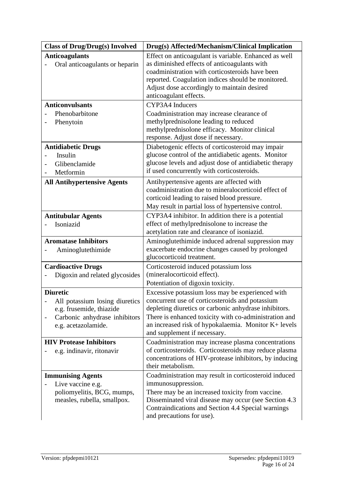| <b>Class of Drug/Drug(s) Involved</b>                                                                                                                                                                     | Drug(s) Affected/Mechanism/Clinical Implication                                                                                                                                                                                                                                                                                                                                                                               |
|-----------------------------------------------------------------------------------------------------------------------------------------------------------------------------------------------------------|-------------------------------------------------------------------------------------------------------------------------------------------------------------------------------------------------------------------------------------------------------------------------------------------------------------------------------------------------------------------------------------------------------------------------------|
| <b>Anticoagulants</b><br>Oral anticoagulants or heparin                                                                                                                                                   | Effect on anticoagulant is variable. Enhanced as well<br>as diminished effects of anticoagulants with<br>coadministration with corticosteroids have been<br>reported. Coagulation indices should be monitored.<br>Adjust dose accordingly to maintain desired<br>anticoagulant effects.                                                                                                                                       |
| <b>Anticonvulsants</b><br>Phenobarbitone<br>Phenytoin                                                                                                                                                     | CYP3A4 Inducers<br>Coadministration may increase clearance of<br>methylprednisolone leading to reduced<br>methylprednisolone efficacy. Monitor clinical<br>response. Adjust dose if necessary.                                                                                                                                                                                                                                |
| <b>Antidiabetic Drugs</b><br>Insulin<br>Glibenclamide<br>Metformin                                                                                                                                        | Diabetogenic effects of corticosteroid may impair<br>glucose control of the antidiabetic agents. Monitor<br>glucose levels and adjust dose of antidiabetic therapy<br>if used concurrently with corticosteroids.                                                                                                                                                                                                              |
| <b>All Antihypertensive Agents</b>                                                                                                                                                                        | Antihypertensive agents are affected with<br>coadministration due to mineralocorticoid effect of<br>corticoid leading to raised blood pressure.<br>May result in partial loss of hypertensive control.                                                                                                                                                                                                                        |
| <b>Antitubular Agents</b><br>Isoniazid                                                                                                                                                                    | CYP3A4 inhibitor. In addition there is a potential<br>effect of methylprednisolone to increase the<br>acetylation rate and clearance of isoniazid.                                                                                                                                                                                                                                                                            |
| <b>Aromatase Inhibitors</b><br>Aminoglutethimide                                                                                                                                                          | Aminoglutethimide induced adrenal suppression may<br>exacerbate endocrine changes caused by prolonged<br>glucocorticoid treatment.                                                                                                                                                                                                                                                                                            |
| <b>Cardioactive Drugs</b><br>Digoxin and related glycosides                                                                                                                                               | Corticosteroid induced potassium loss<br>(mineralocorticoid effect).<br>Potentiation of digoxin toxicity.                                                                                                                                                                                                                                                                                                                     |
| <b>Diuretic</b><br>All potassium losing diuretics<br>e.g. frusemide, thiazide<br>Carbonic anhydrase inhibitors<br>-<br>e.g. acetazolamide.<br><b>HIV Protease Inhibitors</b><br>e.g. indinavir, ritonavir | Excessive potassium loss may be experienced with<br>concurrent use of corticosteroids and potassium<br>depleting diuretics or carbonic anhydrase inhibitors.<br>There is enhanced toxicity with co-administration and<br>an increased risk of hypokalaemia. Monitor K+ levels<br>and supplement if necessary.<br>Coadministration may increase plasma concentrations<br>of corticosteroids. Corticosteroids may reduce plasma |
| <b>Immunising Agents</b><br>Live vaccine e.g.<br>poliomyelitis, BCG, mumps,<br>measles, rubella, smallpox.                                                                                                | concentrations of HIV-protease inhibitors, by inducing<br>their metabolism.<br>Coadministration may result in corticosteroid induced<br>immunosuppression.<br>There may be an increased toxicity from vaccine.<br>Disseminated viral disease may occur (see Section 4.3)                                                                                                                                                      |
|                                                                                                                                                                                                           | Contraindications and Section 4.4 Special warnings<br>and precautions for use).                                                                                                                                                                                                                                                                                                                                               |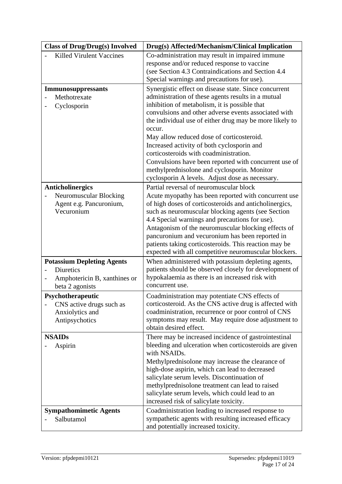| <b>Class of Drug/Drug(s) Involved</b>                                                                    | Drug(s) Affected/Mechanism/Clinical Implication                                                                                                                                                                                                                                                                                                                                                                                                                                                                                                                                           |
|----------------------------------------------------------------------------------------------------------|-------------------------------------------------------------------------------------------------------------------------------------------------------------------------------------------------------------------------------------------------------------------------------------------------------------------------------------------------------------------------------------------------------------------------------------------------------------------------------------------------------------------------------------------------------------------------------------------|
| <b>Killed Virulent Vaccines</b>                                                                          | Co-administration may result in impaired immune<br>response and/or reduced response to vaccine<br>(see Section 4.3 Contraindications and Section 4.4<br>Special warnings and precautions for use).                                                                                                                                                                                                                                                                                                                                                                                        |
| <b>Immunosuppressants</b><br>Methotrexate<br>Cyclosporin                                                 | Synergistic effect on disease state. Since concurrent<br>administration of these agents results in a mutual<br>inhibition of metabolism, it is possible that<br>convulsions and other adverse events associated with<br>the individual use of either drug may be more likely to<br>occur.<br>May allow reduced dose of corticosteroid.<br>Increased activity of both cyclosporin and<br>corticosteroids with coadministration.<br>Convulsions have been reported with concurrent use of<br>methylprednisolone and cyclosporin. Monitor<br>cyclosporin A levels. Adjust dose as necessary. |
| <b>Anticholinergics</b><br>Neuromuscular Blocking<br>Agent e.g. Pancuronium,<br>Vecuronium               | Partial reversal of neuromuscular block<br>Acute myopathy has been reported with concurrent use<br>of high doses of corticosteroids and anticholinergics,<br>such as neuromuscular blocking agents (see Section<br>4.4 Special warnings and precautions for use).<br>Antagonism of the neuromuscular blocking effects of<br>pancuronium and vecuronium has been reported in<br>patients taking corticosteroids. This reaction may be<br>expected with all competitive neuromuscular blockers.                                                                                             |
| <b>Potassium Depleting Agents</b><br><b>Diuretics</b><br>Amphotericin B, xanthines or<br>beta 2 agonists | When administered with potassium depleting agents,<br>patients should be observed closely for development of<br>hypokalaemia as there is an increased risk with<br>concurrent use.                                                                                                                                                                                                                                                                                                                                                                                                        |
| Psychotherapeutic<br>CNS active drugs such as<br>Anxiolytics and<br>Antipsychotics                       | Coadministration may potentiate CNS effects of<br>corticosteroid. As the CNS active drug is affected with<br>coadministration, recurrence or poor control of CNS<br>symptoms may result. May require dose adjustment to<br>obtain desired effect.                                                                                                                                                                                                                                                                                                                                         |
| <b>NSAIDs</b><br>Aspirin                                                                                 | There may be increased incidence of gastrointestinal<br>bleeding and ulceration when corticosteroids are given<br>with NSAID <sub>s</sub> .<br>Methylprednisolone may increase the clearance of<br>high-dose aspirin, which can lead to decreased<br>salicylate serum levels. Discontinuation of<br>methylprednisolone treatment can lead to raised<br>salicylate serum levels, which could lead to an<br>increased risk of salicylate toxicity.                                                                                                                                          |
| <b>Sympathomimetic Agents</b><br>Salbutamol                                                              | Coadministration leading to increased response to<br>sympathetic agents with resulting increased efficacy<br>and potentially increased toxicity.                                                                                                                                                                                                                                                                                                                                                                                                                                          |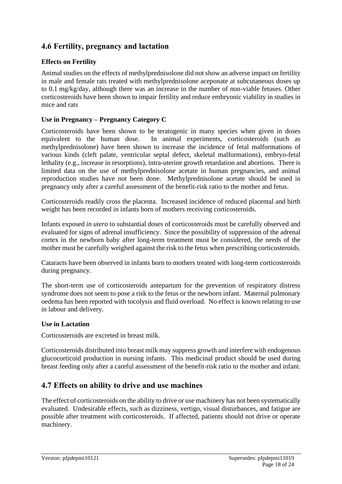# **4.6 Fertility, pregnancy and lactation**

### **Effects on Fertility**

Animal studies on the effects of methylprednisolone did not show an adverse impact on fertility in male and female rats treated with methylprednisolone aceponate at subcutaneous doses up to 0.1 mg/kg/day, although there was an increase in the number of non-viable fetuses. Other corticosteroids have been shown to impair fertility and reduce embryonic viability in studies in mice and rats

### **Use in Pregnancy – Pregnancy Category C**

Corticosteroids have been shown to be teratogenic in many species when given in doses equivalent to the human dose. In animal experiments, corticosteroids (such as methylprednisolone) have been shown to increase the incidence of fetal malformations of various kinds (cleft palate, ventricular septal defect, skeletal malformations), embryo-fetal lethality (e.g., increase in resorptions), intra-uterine growth retardation and abortions. There is limited data on the use of methylprednisolone acetate in human pregnancies, and animal reproduction studies have not been done. Methylprednisolone acetate should be used in pregnancy only after a careful assessment of the benefit-risk ratio to the mother and fetus.

Corticosteroids readily cross the placenta. Increased incidence of reduced placental and birth weight has been recorded in infants born of mothers receiving corticosteroids.

Infants exposed *in utero* to substantial doses of corticosteroids must be carefully observed and evaluated for signs of adrenal insufficiency. Since the possibility of suppression of the adrenal cortex in the newborn baby after long-term treatment must be considered, the needs of the mother must be carefully weighed against the risk to the fetus when prescribing corticosteroids.

Cataracts have been observed in infants born to mothers treated with long-term corticosteroids during pregnancy.

The short-term use of corticosteroids antepartum for the prevention of respiratory distress syndrome does not seem to pose a risk to the fetus or the newborn infant. Maternal pulmonary oedema has been reported with tocolysis and fluid overload. No effect is known relating to use in labour and delivery.

### **Use in Lactation**

Corticosteroids are excreted in breast milk.

Corticosteroids distributed into breast milk may suppress growth and interfere with endogenous glucocorticoid production in nursing infants. This medicinal product should be used during breast feeding only after a careful assessment of the benefit-risk ratio to the mother and infant.

# **4.7 Effects on ability to drive and use machines**

The effect of corticosteroids on the ability to drive or use machinery has not been systematically evaluated. Undesirable effects, such as dizziness, vertigo, visual disturbances, and fatigue are possible after treatment with corticosteroids. If affected, patients should not drive or operate machinery.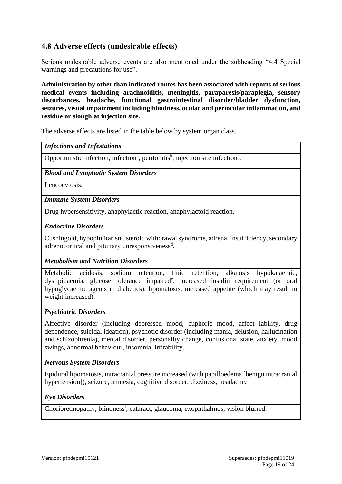# **4.8 Adverse effects (undesirable effects)**

Serious undesirable adverse events are also mentioned under the subheading "4.4 Special warnings and precautions for use".

**Administration by other than indicated routes has been associated with reports of serious medical events including arachnoiditis, meningitis, paraparesis/paraplegia, sensory disturbances, headache, functional gastrointestinal disorder/bladder dysfunction, seizures, visual impairment including blindness, ocular and periocular inflammation, and residue or slough at injection site.**

The adverse effects are listed in the table below by system organ class.

#### *Infections and Infestations*

Opportunistic infection, infection<sup>a</sup>, peritonitis<sup>b</sup>, injection site infection<sup>c</sup>.

### *Blood and Lymphatic System Disorders*

Leucocytosis.

*Immune System Disorders*

Drug hypersensitivity, anaphylactic reaction, anaphylactoid reaction.

*Endocrine Disorders*

Cushingoid, hypopituitarism, steroid withdrawal syndrome, adrenal insufficiency, secondary adrenocortical and pituitary unresponsiveness<sup>d</sup>.

### *Metabolism and Nutrition Disorders*

Metabolic acidosis, sodium retention, fluid retention, alkalosis hypokalaemic, dyslipidaemia, glucose tolerance impaired<sup>e</sup>, increased insulin requirement (or oral hypoglycaemic agents in diabetics), lipomatosis, increased appetite (which may result in weight increased).

### *Psychiatric Disorders*

Affective disorder (including depressed mood, euphoric mood, affect lability, drug dependence, suicidal ideation), psychotic disorder (including mania, delusion, hallucination and schizophrenia), mental disorder, personality change, confusional state, anxiety, mood swings, abnormal behaviour, insomnia, irritability.

#### *Nervous System Disorders*

Epidural lipomatosis, intracranial pressure increased (with papilloedema [benign intracranial hypertension]), seizure, amnesia, cognitive disorder, dizziness, headache.

### *Eye Disorders*

Chorioretinopathy, blindness<sup>f</sup>, cataract, glaucoma, exophthalmos, vision blurred.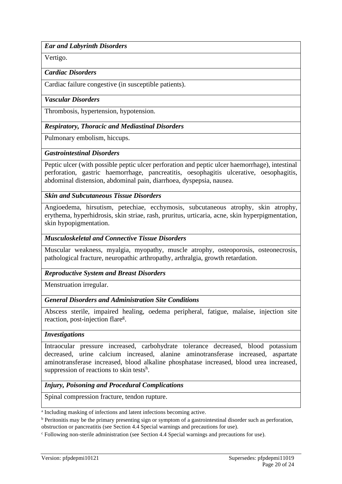*Ear and Labyrinth Disorders*

Vertigo.

#### *Cardiac Disorders*

Cardiac failure congestive (in susceptible patients).

#### *Vascular Disorders*

Thrombosis, hypertension, hypotension.

#### *Respiratory, Thoracic and Mediastinal Disorders*

Pulmonary embolism, hiccups.

#### *Gastrointestinal Disorders*

Peptic ulcer (with possible peptic ulcer perforation and peptic ulcer haemorrhage), intestinal perforation, gastric haemorrhage, pancreatitis, oesophagitis ulcerative, oesophagitis, abdominal distension, abdominal pain, diarrhoea, dyspepsia, nausea.

#### *Skin and Subcutaneous Tissue Disorders*

Angioedema, hirsutism, petechiae, ecchymosis, subcutaneous atrophy, skin atrophy, erythema, hyperhidrosis, skin striae, rash, pruritus, urticaria, acne, skin hyperpigmentation, skin hypopigmentation.

### *Musculoskeletal and Connective Tissue Disorders*

Muscular weakness, myalgia, myopathy, muscle atrophy, osteoporosis, osteonecrosis, pathological fracture, neuropathic arthropathy, arthralgia, growth retardation.

#### *Reproductive System and Breast Disorders*

Menstruation irregular.

#### *General Disorders and Administration Site Conditions*

Abscess sterile, impaired healing, oedema peripheral, fatigue, malaise, injection site reaction, post-injection flare<sup>g</sup>.

#### *Investigations*

Intraocular pressure increased, carbohydrate tolerance decreased, blood potassium decreased, urine calcium increased, alanine aminotransferase increased, aspartate aminotransferase increased, blood alkaline phosphatase increased, blood urea increased, suppression of reactions to skin tests<sup>h</sup>.

#### *Injury, Poisoning and Procedural Complications*

Spinal compression fracture, tendon rupture.

<sup>a</sup> Including masking of infections and latent infections becoming active.

<sup>b</sup> Peritonitis may be the primary presenting sign or symptom of a gastrointestinal disorder such as perforation, obstruction or pancreatitis (see Section 4.4 Special warnings and precautions for use).

<sup>c</sup> Following non-sterile administration (see Section 4.4 Special warnings and precautions for use).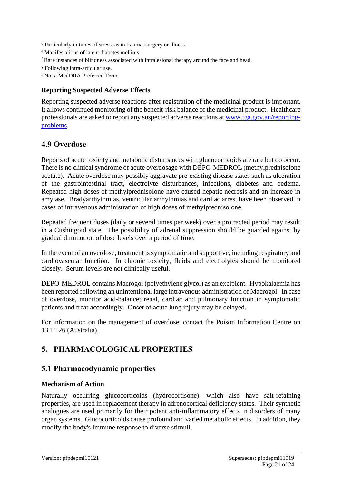- <sup>d</sup> Particularly in times of stress, as in trauma, surgery or illness.
- <sup>e</sup> Manifestations of latent diabetes mellitus.
- <sup>f</sup> Rare instances of blindness associated with intralesional therapy around the face and head.
- <sup>g</sup> Following intra-articular use.
- <sup>h</sup> Not a MedDRA Preferred Term.

#### **Reporting Suspected Adverse Effects**

Reporting suspected adverse reactions after registration of the medicinal product is important. It allows continued monitoring of the benefit-risk balance of the medicinal product. Healthcare professionals are asked to report any suspected adverse reactions at [www.tga.gov.au/reporting](http://www.tga.gov.au/reporting-problems)[problems.](http://www.tga.gov.au/reporting-problems)

### **4.9 Overdose**

Reports of acute toxicity and metabolic disturbances with glucocorticoids are rare but do occur. There is no clinical syndrome of acute overdosage with DEPO-MEDROL (methylprednisolone acetate). Acute overdose may possibly aggravate pre-existing disease states such as ulceration of the gastrointestinal tract, electrolyte disturbances, infections, diabetes and oedema. Repeated high doses of methylprednisolone have caused hepatic necrosis and an increase in amylase. Bradyarrhythmias, ventricular arrhythmias and cardiac arrest have been observed in cases of intravenous administration of high doses of methylprednisolone.

Repeated frequent doses (daily or several times per week) over a protracted period may result in a Cushingoid state. The possibility of adrenal suppression should be guarded against by gradual diminution of dose levels over a period of time.

In the event of an overdose, treatment is symptomatic and supportive, including respiratory and cardiovascular function. In chronic toxicity, fluids and electrolytes should be monitored closely. Serum levels are not clinically useful.

DEPO-MEDROL contains Macrogol (polyethylene glycol) as an excipient. Hypokalaemia has been reported following an unintentional large intravenous administration of Macrogol. In case of overdose, monitor acid-balance; renal, cardiac and pulmonary function in symptomatic patients and treat accordingly. Onset of acute lung injury may be delayed.

For information on the management of overdose, contact the Poison Information Centre on 13 11 26 (Australia).

# **5. PHARMACOLOGICAL PROPERTIES**

# **5.1 Pharmacodynamic properties**

### **Mechanism of Action**

Naturally occurring glucocorticoids (hydrocortisone), which also have salt-retaining properties, are used in replacement therapy in adrenocortical deficiency states. Their synthetic analogues are used primarily for their potent anti-inflammatory effects in disorders of many organ systems. Glucocorticoids cause profound and varied metabolic effects. In addition, they modify the body's immune response to diverse stimuli.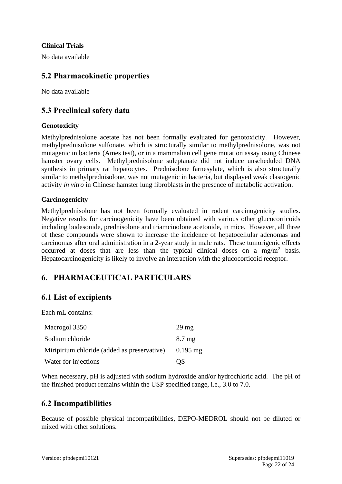### **Clinical Trials**

No data available

# **5.2 Pharmacokinetic properties**

No data available

# **5.3 Preclinical safety data**

### **Genotoxicity**

Methylprednisolone acetate has not been formally evaluated for genotoxicity. However, methylprednisolone sulfonate, which is structurally similar to methylprednisolone, was not mutagenic in bacteria (Ames test), or in a mammalian cell gene mutation assay using Chinese hamster ovary cells. Methylprednisolone suleptanate did not induce unscheduled DNA synthesis in primary rat hepatocytes. Prednisolone farnesylate, which is also structurally similar to methylprednisolone, was not mutagenic in bacteria, but displayed weak clastogenic activity *in vitro* in Chinese hamster lung fibroblasts in the presence of metabolic activation.

### **Carcinogenicity**

Methylprednisolone has not been formally evaluated in rodent carcinogenicity studies. Negative results for carcinogenicity have been obtained with various other glucocorticoids including budesonide, prednisolone and triamcinolone acetonide, in mice. However, all three of these compounds were shown to increase the incidence of hepatocellular adenomas and carcinomas after oral administration in a 2-year study in male rats. These tumorigenic effects occurred at doses that are less than the typical clinical doses on a mg/m<sup>2</sup> basis. Hepatocarcinogenicity is likely to involve an interaction with the glucocorticoid receptor.

# **6. PHARMACEUTICAL PARTICULARS**

# **6.1 List of excipients**

Each mL contains:

| Macrogol 3350                               | $29 \text{ mg}$  |
|---------------------------------------------|------------------|
| Sodium chloride                             | $8.7 \text{ mg}$ |
| Miripirium chloride (added as preservative) | $0.195$ mg       |
| Water for injections                        | OS               |

When necessary, pH is adjusted with sodium hydroxide and/or hydrochloric acid. The pH of the finished product remains within the USP specified range, i.e., 3.0 to 7.0.

# **6.2 Incompatibilities**

Because of possible physical incompatibilities, DEPO-MEDROL should not be diluted or mixed with other solutions.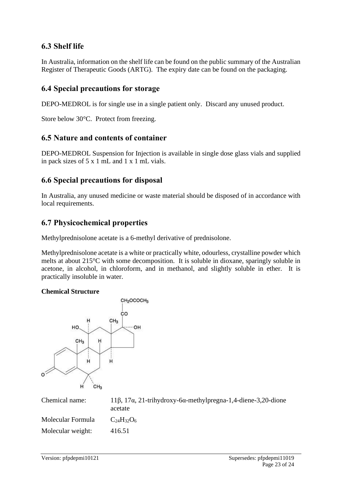# **6.3 Shelf life**

In Australia, information on the shelf life can be found on the public summary of the Australian Register of Therapeutic Goods (ARTG). The expiry date can be found on the packaging.

# **6.4 Special precautions for storage**

DEPO-MEDROL is for single use in a single patient only. Discard any unused product.

Store below 30°C. Protect from freezing.

# **6.5 Nature and contents of container**

DEPO-MEDROL Suspension for Injection is available in single dose glass vials and supplied in pack sizes of 5 x 1 mL and 1 x 1 mL vials.

# **6.6 Special precautions for disposal**

In Australia, any unused medicine or waste material should be disposed of in accordance with local requirements.

# **6.7 Physicochemical properties**

Methylprednisolone acetate is a 6-methyl derivative of prednisolone.

Methylprednisolone acetate is a white or practically white, odourless, crystalline powder which melts at about 215°C with some decomposition. It is soluble in dioxane, sparingly soluble in acetone, in alcohol, in chloroform, and in methanol, and slightly soluble in ether. It is practically insoluble in water.

### **Chemical Structure**



| Chemical name:    | 11 $\beta$ , 17 $\alpha$ , 21-trihydroxy-6 $\alpha$ -methylpregna-1,4-diene-3,20-dione<br>acetate |
|-------------------|---------------------------------------------------------------------------------------------------|
| Molecular Formula | $C_{24}H_{32}O_6$                                                                                 |
| Molecular weight: | 416.51                                                                                            |